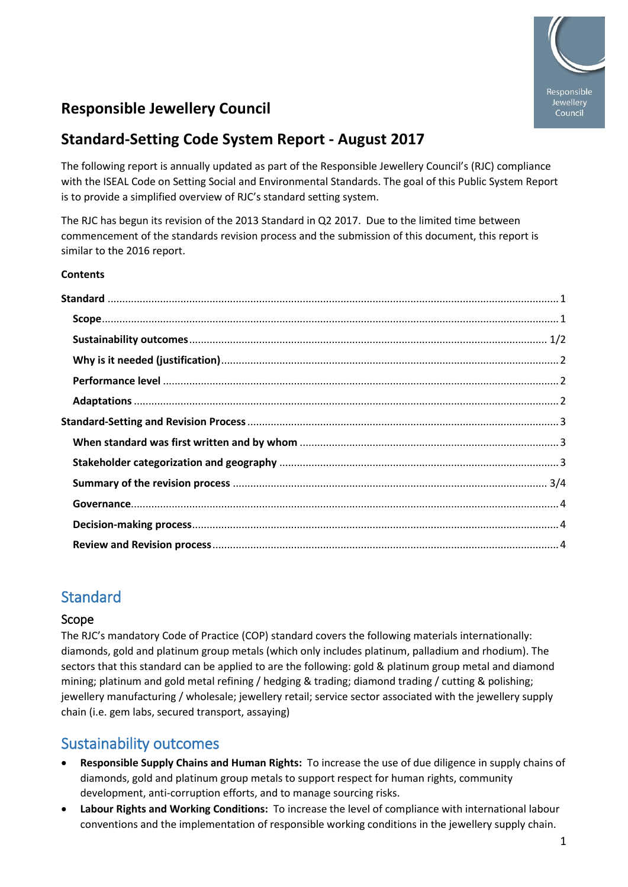

# **Responsible Jewellery Council**

## **Standard-Setting Code System Report - August 2017**

The following report is annually updated as part of the Responsible Jewellery Council's (RJC) compliance with the ISEAL Code on Setting Social and Environmental Standards. The goal of this Public System Report is to provide a simplified overview of RJC's standard setting system.

The RJC has begun its revision of the 2013 Standard in Q2 2017. Due to the limited time between commencement of the standards revision process and the submission of this document, this report is similar to the 2016 report.

#### **Contents**

## <span id="page-0-0"></span>**Standard**

#### <span id="page-0-1"></span>Scope

The RJC's mandatory Code of Practice (COP) standard covers the following materials internationally: diamonds, gold and platinum group metals (which only includes platinum, palladium and rhodium). The sectors that this standard can be applied to are the following: gold & platinum group metal and diamond mining; platinum and gold metal refining / hedging & trading; diamond trading / cutting & polishing; jewellery manufacturing / wholesale; jewellery retail; service sector associated with the jewellery supply chain (i.e. gem labs, secured transport, assaying)

## <span id="page-0-2"></span>Sustainability outcomes

- **Responsible Supply Chains and Human Rights:** To increase the use of due diligence in supply chains of diamonds, gold and platinum group metals to support respect for human rights, community development, anti-corruption efforts, and to manage sourcing risks.
- **Labour Rights and Working Conditions:** To increase the level of compliance with international labour conventions and the implementation of responsible working conditions in the jewellery supply chain.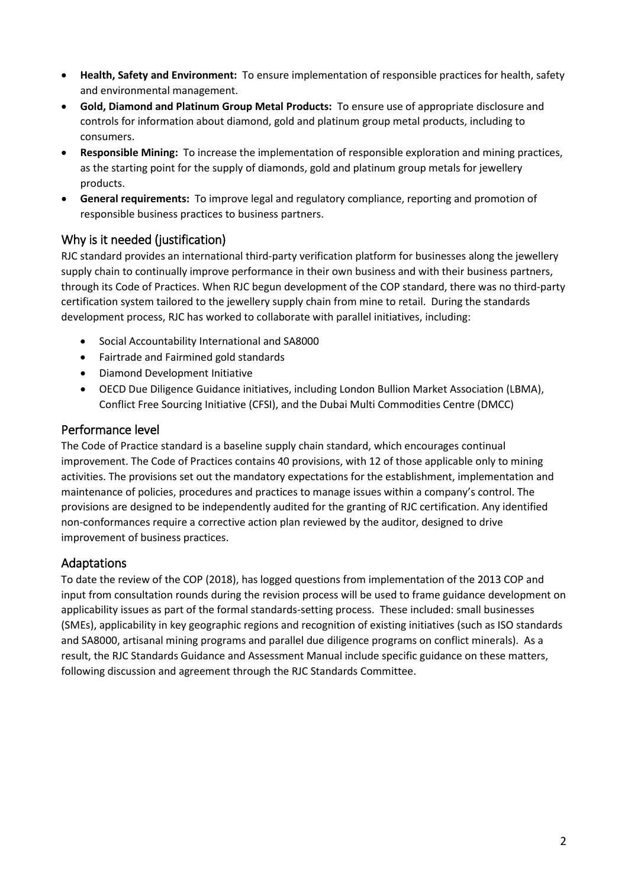- **Health, Safety and Environment:** To ensure implementation of responsible practices for health, safety and environmental management.
- **Gold, Diamond and Platinum Group Metal Products:** To ensure use of appropriate disclosure and controls for information about diamond, gold and platinum group metal products, including to consumers.
- **Responsible Mining:** To increase the implementation of responsible exploration and mining practices, as the starting point for the supply of diamonds, gold and platinum group metals for jewellery products.
- <span id="page-1-0"></span>• **General requirements:** To improve legal and regulatory compliance, reporting and promotion of responsible business practices to business partners.

## Why is it needed (justification)

RJC standard provides an international third-party verification platform for businesses along the jewellery supply chain to continually improve performance in their own business and with their business partners, through its Code of Practices. When RJC begun development of the COP standard, there was no third-party certification system tailored to the jewellery supply chain from mine to retail. During the standards development process, RJC has worked to collaborate with parallel initiatives, including:

- Social Accountability International and SA8000
- Fairtrade and Fairmined gold standards
- Diamond Development Initiative
- <span id="page-1-1"></span>• OECD Due Diligence Guidance initiatives, including London Bullion Market Association (LBMA), Conflict Free Sourcing Initiative (CFSI), and the Dubai Multi Commodities Centre (DMCC)

#### Performance level

The Code of Practice standard is a baseline supply chain standard, which encourages continual improvement. The Code of Practices contains 40 provisions, with 12 of those applicable only to mining activities. The provisions set out the mandatory expectations for the establishment, implementation and maintenance of policies, procedures and practices to manage issues within a company's control. The provisions are designed to be independently audited for the granting of RJC certification. Any identified non-conformances require a corrective action plan reviewed by the auditor, designed to drive improvement of business practices.

#### <span id="page-1-2"></span>Adaptations

To date the review of the COP (2018), has logged questions from implementation of the 2013 COP and input from consultation rounds during the revision process will be used to frame guidance development on applicability issues as part of the formal standards-setting process. These included: small businesses (SMEs), applicability in key geographic regions and recognition of existing initiatives (such as ISO standards and SA8000, artisanal mining programs and parallel due diligence programs on conflict minerals). As a result, the RJC Standards Guidance and Assessment Manual include specific guidance on these matters, following discussion and agreement through the RJC Standards Committee.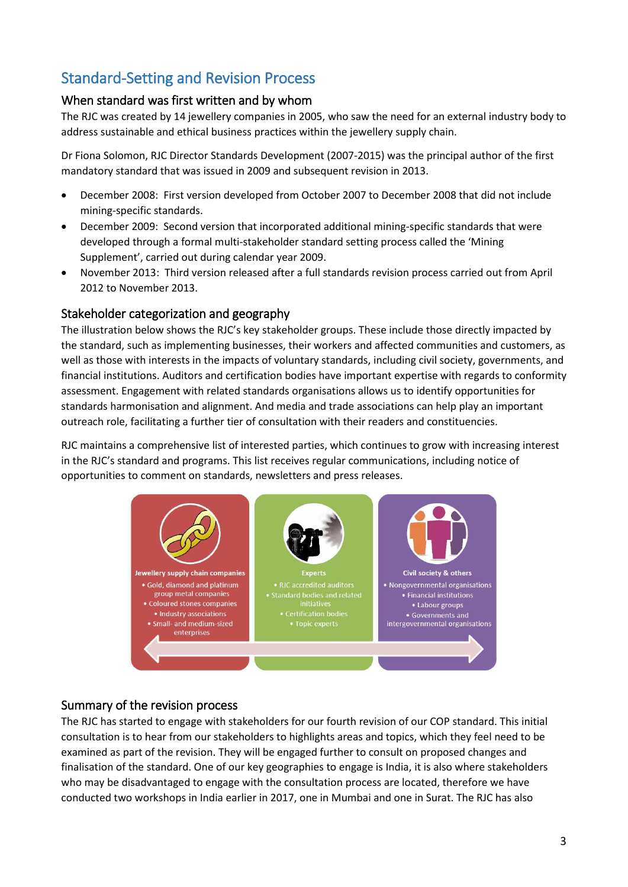# <span id="page-2-0"></span>Standard-Setting and Revision Process

## <span id="page-2-1"></span>When standard was first written and by whom

The RJC was created by 14 jewellery companies in 2005, who saw the need for an external industry body to address sustainable and ethical business practices within the jewellery supply chain.

Dr Fiona Solomon, RJC Director Standards Development (2007-2015) was the principal author of the first mandatory standard that was issued in 2009 and subsequent revision in 2013.

- December 2008: First version developed from October 2007 to December 2008 that did not include mining-specific standards.
- December 2009: Second version that incorporated additional mining-specific standards that were developed through a formal multi-stakeholder standard setting process called the 'Mining Supplement', carried out during calendar year 2009.
- November 2013: Third version released after a full standards revision process carried out from April 2012 to November 2013.

### <span id="page-2-2"></span>Stakeholder categorization and geography

The illustration below shows the RJC's key stakeholder groups. These include those directly impacted by the standard, such as implementing businesses, their workers and affected communities and customers, as well as those with interests in the impacts of voluntary standards, including civil society, governments, and financial institutions. Auditors and certification bodies have important expertise with regards to conformity assessment. Engagement with related standards organisations allows us to identify opportunities for standards harmonisation and alignment. And media and trade associations can help play an important outreach role, facilitating a further tier of consultation with their readers and constituencies.

RJC maintains a comprehensive list of interested parties, which continues to grow with increasing interest in the RJC's standard and programs. This list receives regular communications, including notice of opportunities to comment on standards, newsletters and press releases.



## <span id="page-2-3"></span>Summary of the revision process

The RJC has started to engage with stakeholders for our fourth revision of our COP standard. This initial consultation is to hear from our stakeholders to highlights areas and topics, which they feel need to be examined as part of the revision. They will be engaged further to consult on proposed changes and finalisation of the standard. One of our key geographies to engage is India, it is also where stakeholders who may be disadvantaged to engage with the consultation process are located, therefore we have conducted two workshops in India earlier in 2017, one in Mumbai and one in Surat. The RJC has also